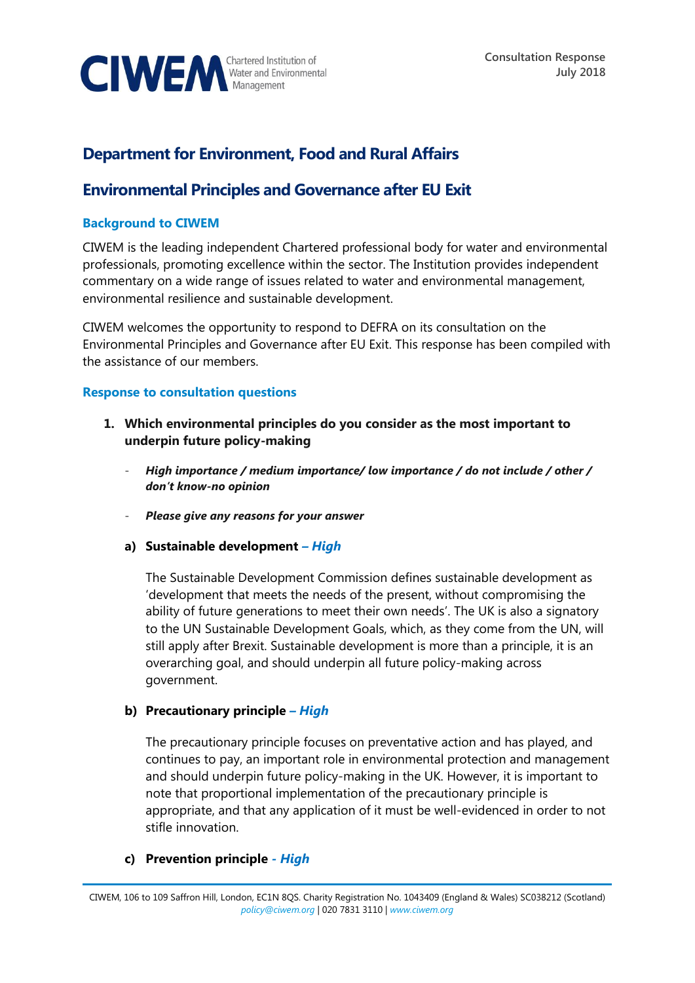

# **Department for Environment, Food and Rural Affairs**

# **Environmental Principles and Governance after EU Exit**

### **Background to CIWEM**

CIWEM is the leading independent Chartered professional body for water and environmental professionals, promoting excellence within the sector. The Institution provides independent commentary on a wide range of issues related to water and environmental management, environmental resilience and sustainable development.

CIWEM welcomes the opportunity to respond to DEFRA on its consultation on the Environmental Principles and Governance after EU Exit. This response has been compiled with the assistance of our members.

### **Response to consultation questions**

- **1. Which environmental principles do you consider as the most important to underpin future policy-making**
	- *High importance / medium importance/ low importance / do not include / other / don't know-no opinion*
	- *Please give any reasons for your answer*
	- **a) Sustainable development** *– High*

The Sustainable Development Commission defines sustainable development as 'development that meets the needs of the present, without compromising the ability of future generations to meet their own needs'. The UK is also a signatory to the UN Sustainable Development Goals, which, as they come from the UN, will still apply after Brexit. Sustainable development is more than a principle, it is an overarching goal, and should underpin all future policy-making across government.

### **b) Precautionary principle** *– High*

The precautionary principle focuses on preventative action and has played, and continues to pay, an important role in environmental protection and management and should underpin future policy-making in the UK. However, it is important to note that proportional implementation of the precautionary principle is appropriate, and that any application of it must be well-evidenced in order to not stifle innovation.

### **c) Prevention principle** *- High*

CIWEM, 106 to 109 Saffron Hill, London, EC1N 8QS. Charity Registration No. 1043409 (England & Wales) SC038212 (Scotland) *[policy@ciwem.org](mailto:policy@ciwem.org)* | 020 7831 3110 | *[www.ciwem.org](http://www.ciwem.org/)*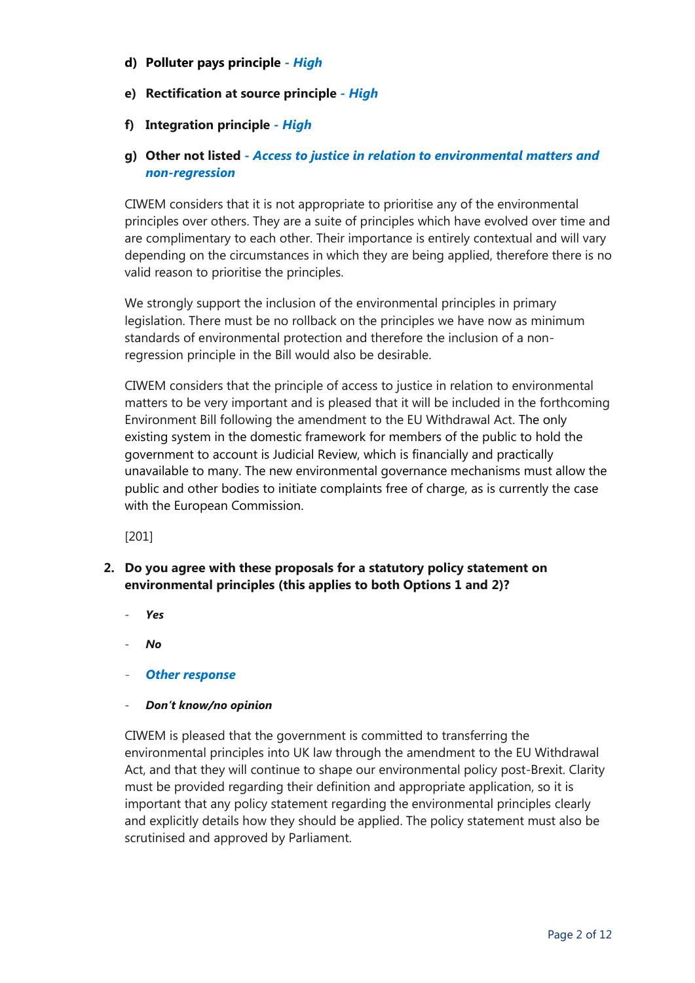- **d) Polluter pays principle** *- High*
- **e) Rectification at source principle** *- High*
- **f) Integration principle** *- High*

## **g) Other not listed** *- Access to justice in relation to environmental matters and non-regression*

CIWEM considers that it is not appropriate to prioritise any of the environmental principles over others. They are a suite of principles which have evolved over time and are complimentary to each other. Their importance is entirely contextual and will vary depending on the circumstances in which they are being applied, therefore there is no valid reason to prioritise the principles.

We strongly support the inclusion of the environmental principles in primary legislation. There must be no rollback on the principles we have now as minimum standards of environmental protection and therefore the inclusion of a nonregression principle in the Bill would also be desirable.

CIWEM considers that the principle of access to justice in relation to environmental matters to be very important and is pleased that it will be included in the forthcoming Environment Bill following the amendment to the EU Withdrawal Act. The only existing system in the domestic framework for members of the public to hold the government to account is Judicial Review, which is financially and practically unavailable to many. The new environmental governance mechanisms must allow the public and other bodies to initiate complaints free of charge, as is currently the case with the European Commission.

[201]

- **2. Do you agree with these proposals for a statutory policy statement on environmental principles (this applies to both Options 1 and 2)?**
	- *Yes*
	- *No*
	- *Other response*
	- *Don't know/no opinion*

CIWEM is pleased that the government is committed to transferring the environmental principles into UK law through the amendment to the EU Withdrawal Act, and that they will continue to shape our environmental policy post-Brexit. Clarity must be provided regarding their definition and appropriate application, so it is important that any policy statement regarding the environmental principles clearly and explicitly details how they should be applied. The policy statement must also be scrutinised and approved by Parliament.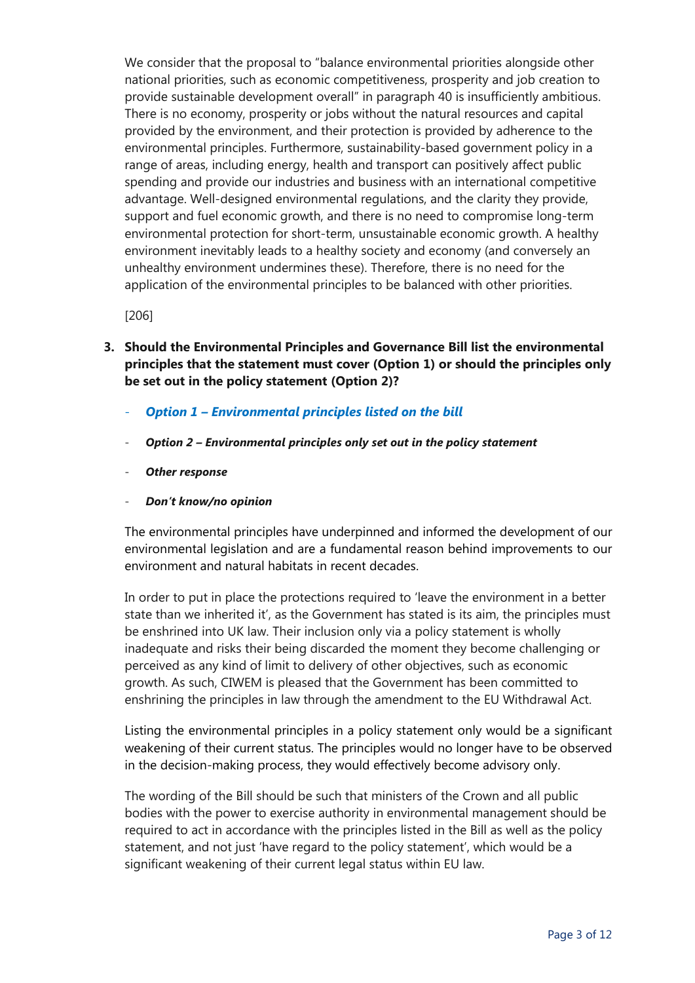We consider that the proposal to "balance environmental priorities alongside other national priorities, such as economic competitiveness, prosperity and job creation to provide sustainable development overall" in paragraph 40 is insufficiently ambitious. There is no economy, prosperity or jobs without the natural resources and capital provided by the environment, and their protection is provided by adherence to the environmental principles. Furthermore, sustainability-based government policy in a range of areas, including energy, health and transport can positively affect public spending and provide our industries and business with an international competitive advantage. Well-designed environmental regulations, and the clarity they provide, support and fuel economic growth, and there is no need to compromise long-term environmental protection for short-term, unsustainable economic growth. A healthy environment inevitably leads to a healthy society and economy (and conversely an unhealthy environment undermines these). Therefore, there is no need for the application of the environmental principles to be balanced with other priorities.

[206]

- **3. Should the Environmental Principles and Governance Bill list the environmental principles that the statement must cover (Option 1) or should the principles only be set out in the policy statement (Option 2)?**
	- *Option 1 – Environmental principles listed on the bill*
	- *Option 2 – Environmental principles only set out in the policy statement*
	- *Other response*
	- *Don't know/no opinion*

The environmental principles have underpinned and informed the development of our environmental legislation and are a fundamental reason behind improvements to our environment and natural habitats in recent decades.

In order to put in place the protections required to 'leave the environment in a better state than we inherited it', as the Government has stated is its aim, the principles must be enshrined into UK law. Their inclusion only via a policy statement is wholly inadequate and risks their being discarded the moment they become challenging or perceived as any kind of limit to delivery of other objectives, such as economic growth. As such, CIWEM is pleased that the Government has been committed to enshrining the principles in law through the amendment to the EU Withdrawal Act.

Listing the environmental principles in a policy statement only would be a significant weakening of their current status. The principles would no longer have to be observed in the decision-making process, they would effectively become advisory only.

The wording of the Bill should be such that ministers of the Crown and all public bodies with the power to exercise authority in environmental management should be required to act in accordance with the principles listed in the Bill as well as the policy statement, and not just 'have regard to the policy statement', which would be a significant weakening of their current legal status within EU law.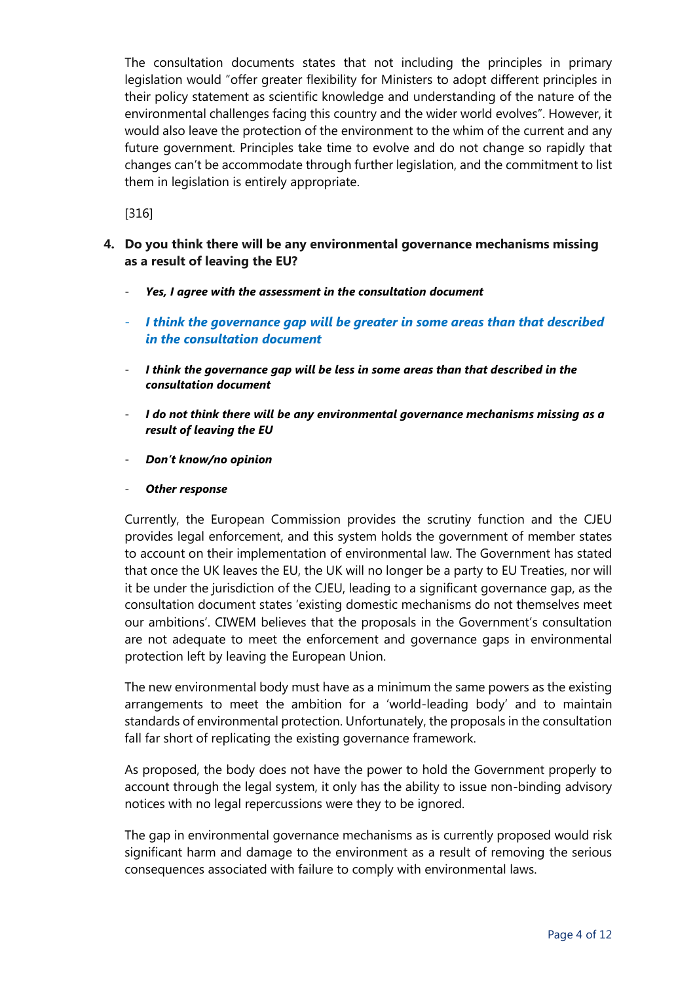The consultation documents states that not including the principles in primary legislation would "offer greater flexibility for Ministers to adopt different principles in their policy statement as scientific knowledge and understanding of the nature of the environmental challenges facing this country and the wider world evolves". However, it would also leave the protection of the environment to the whim of the current and any future government. Principles take time to evolve and do not change so rapidly that changes can't be accommodate through further legislation, and the commitment to list them in legislation is entirely appropriate.

[316]

- **4. Do you think there will be any environmental governance mechanisms missing as a result of leaving the EU?**
	- *Yes, I agree with the assessment in the consultation document*
	- *I think the governance gap will be greater in some areas than that described in the consultation document*
	- *I think the governance gap will be less in some areas than that described in the consultation document*
	- *I do not think there will be any environmental governance mechanisms missing as a result of leaving the EU*
	- *Don't know/no opinion*
	- *Other response*

Currently, the European Commission provides the scrutiny function and the CJEU provides legal enforcement, and this system holds the government of member states to account on their implementation of environmental law. The Government has stated that once the UK leaves the EU, the UK will no longer be a party to EU Treaties, nor will it be under the jurisdiction of the CJEU, leading to a significant governance gap, as the consultation document states 'existing domestic mechanisms do not themselves meet our ambitions'. CIWEM believes that the proposals in the Government's consultation are not adequate to meet the enforcement and governance gaps in environmental protection left by leaving the European Union.

The new environmental body must have as a minimum the same powers as the existing arrangements to meet the ambition for a 'world-leading body' and to maintain standards of environmental protection. Unfortunately, the proposals in the consultation fall far short of replicating the existing governance framework.

As proposed, the body does not have the power to hold the Government properly to account through the legal system, it only has the ability to issue non-binding advisory notices with no legal repercussions were they to be ignored.

The gap in environmental governance mechanisms as is currently proposed would risk significant harm and damage to the environment as a result of removing the serious consequences associated with failure to comply with environmental laws.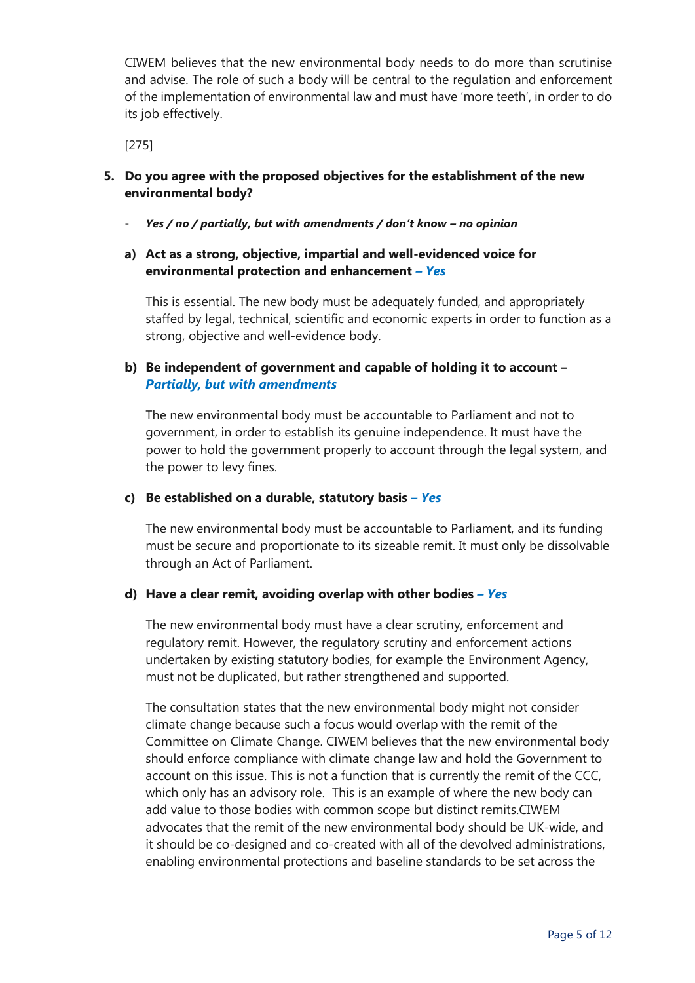CIWEM believes that the new environmental body needs to do more than scrutinise and advise. The role of such a body will be central to the regulation and enforcement of the implementation of environmental law and must have 'more teeth', in order to do its job effectively.

[275]

- **5. Do you agree with the proposed objectives for the establishment of the new environmental body?**
	- *Yes / no / partially, but with amendments / don't know – no opinion*

## **a) Act as a strong, objective, impartial and well-evidenced voice for environmental protection and enhancement** *– Yes*

This is essential. The new body must be adequately funded, and appropriately staffed by legal, technical, scientific and economic experts in order to function as a strong, objective and well-evidence body.

## **b) Be independent of government and capable of holding it to account –** *Partially, but with amendments*

The new environmental body must be accountable to Parliament and not to government, in order to establish its genuine independence. It must have the power to hold the government properly to account through the legal system, and the power to levy fines.

#### **c) Be established on a durable, statutory basis** *– Yes*

The new environmental body must be accountable to Parliament, and its funding must be secure and proportionate to its sizeable remit. It must only be dissolvable through an Act of Parliament.

## **d) Have a clear remit, avoiding overlap with other bodies** *– Yes*

The new environmental body must have a clear scrutiny, enforcement and regulatory remit. However, the regulatory scrutiny and enforcement actions undertaken by existing statutory bodies, for example the Environment Agency, must not be duplicated, but rather strengthened and supported.

The consultation states that the new environmental body might not consider climate change because such a focus would overlap with the remit of the Committee on Climate Change. CIWEM believes that the new environmental body should enforce compliance with climate change law and hold the Government to account on this issue. This is not a function that is currently the remit of the CCC, which only has an advisory role. This is an example of where the new body can add value to those bodies with common scope but distinct remits.CIWEM advocates that the remit of the new environmental body should be UK-wide, and it should be co-designed and co-created with all of the devolved administrations, enabling environmental protections and baseline standards to be set across the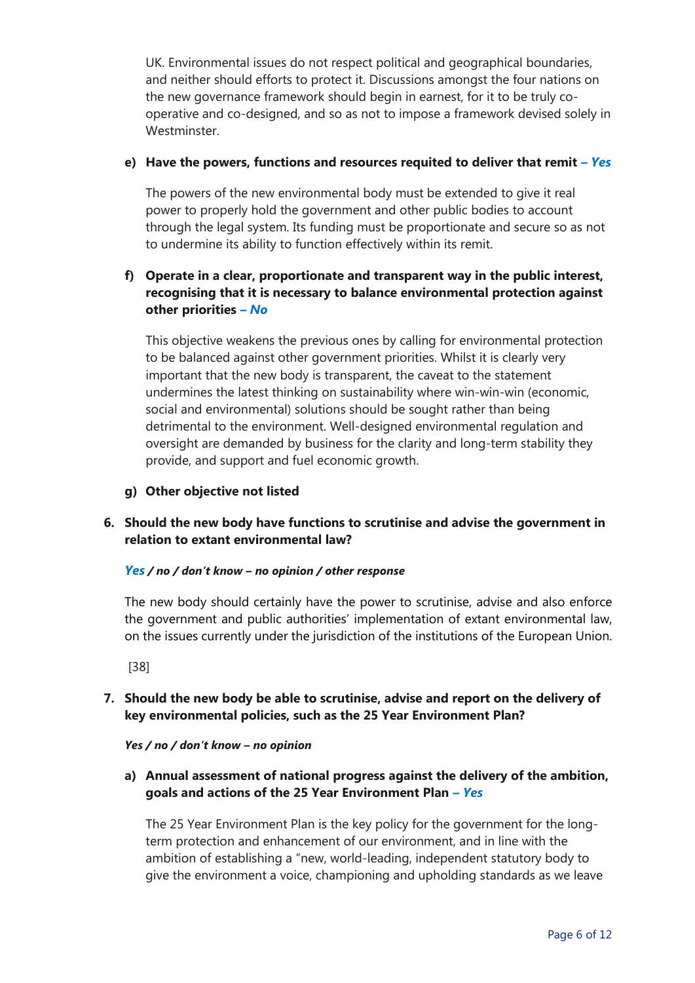UK. Environmental issues do not respect political and geographical boundaries, and neither should efforts to protect it. Discussions amongst the four nations on the new governance framework should begin in earnest, for it to be truly cooperative and co-designed, and so as not to impose a framework devised solely in Westminster.

## **e) Have the powers, functions and resources requited to deliver that remit** *– Yes*

The powers of the new environmental body must be extended to give it real power to properly hold the government and other public bodies to account through the legal system. Its funding must be proportionate and secure so as not to undermine its ability to function effectively within its remit.

## **f) Operate in a clear, proportionate and transparent way in the public interest, recognising that it is necessary to balance environmental protection against other priorities** *– No*

This objective weakens the previous ones by calling for environmental protection to be balanced against other government priorities. Whilst it is clearly very important that the new body is transparent, the caveat to the statement undermines the latest thinking on sustainability where win-win-win (economic, social and environmental) solutions should be sought rather than being detrimental to the environment. Well-designed environmental regulation and oversight are demanded by business for the clarity and long-term stability they provide, and support and fuel economic growth.

**g) Other objective not listed**

## **6. Should the new body have functions to scrutinise and advise the government in relation to extant environmental law?**

### *Yes / no / don't know – no opinion / other response*

The new body should certainly have the power to scrutinise, advise and also enforce the government and public authorities' implementation of extant environmental law, on the issues currently under the jurisdiction of the institutions of the European Union.

[38]

**7. Should the new body be able to scrutinise, advise and report on the delivery of key environmental policies, such as the 25 Year Environment Plan?**

*Yes / no / don't know – no opinion*

**a) Annual assessment of national progress against the delivery of the ambition, goals and actions of the 25 Year Environment Plan** *– Yes*

The 25 Year Environment Plan is the key policy for the government for the longterm protection and enhancement of our environment, and in line with the ambition of establishing a "new, world-leading, independent statutory body to give the environment a voice, championing and upholding standards as we leave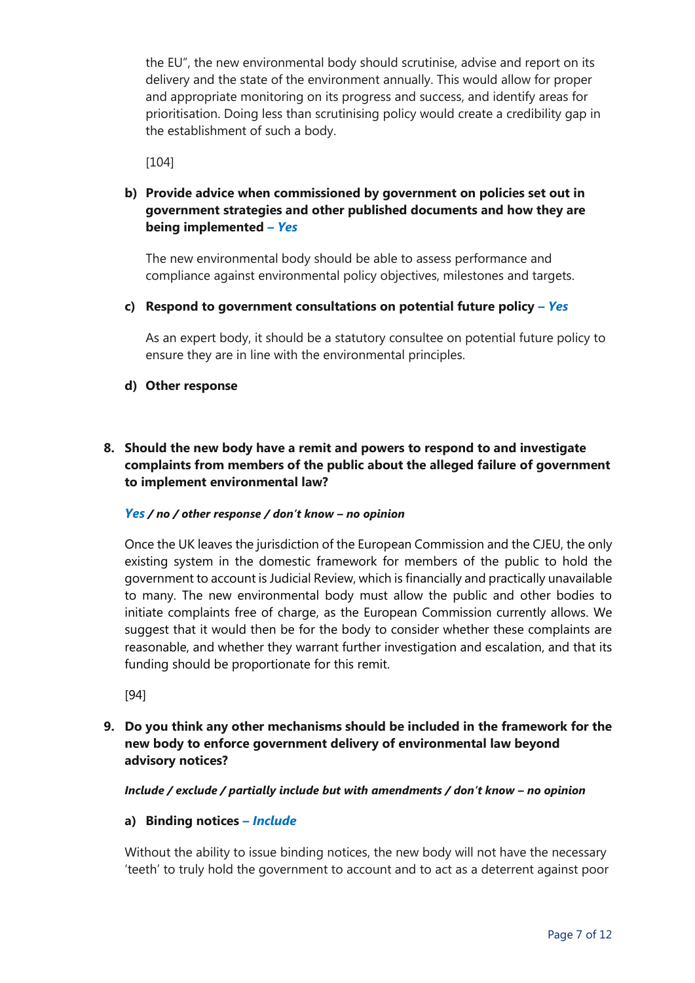the EU", the new environmental body should scrutinise, advise and report on its delivery and the state of the environment annually. This would allow for proper and appropriate monitoring on its progress and success, and identify areas for prioritisation. Doing less than scrutinising policy would create a credibility gap in the establishment of such a body.

[104]

## **b) Provide advice when commissioned by government on policies set out in government strategies and other published documents and how they are being implemented** *– Yes*

The new environmental body should be able to assess performance and compliance against environmental policy objectives, milestones and targets.

### **c) Respond to government consultations on potential future policy** *– Yes*

As an expert body, it should be a statutory consultee on potential future policy to ensure they are in line with the environmental principles.

### **d) Other response**

## **8. Should the new body have a remit and powers to respond to and investigate complaints from members of the public about the alleged failure of government to implement environmental law?**

### *Yes / no / other response / don't know – no opinion*

Once the UK leaves the jurisdiction of the European Commission and the CJEU, the only existing system in the domestic framework for members of the public to hold the government to account is Judicial Review, which is financially and practically unavailable to many. The new environmental body must allow the public and other bodies to initiate complaints free of charge, as the European Commission currently allows. We suggest that it would then be for the body to consider whether these complaints are reasonable, and whether they warrant further investigation and escalation, and that its funding should be proportionate for this remit.

[94]

## **9. Do you think any other mechanisms should be included in the framework for the new body to enforce government delivery of environmental law beyond advisory notices?**

*Include / exclude / partially include but with amendments / don't know – no opinion*

### **a) Binding notices** *– Include*

Without the ability to issue binding notices, the new body will not have the necessary 'teeth' to truly hold the government to account and to act as a deterrent against poor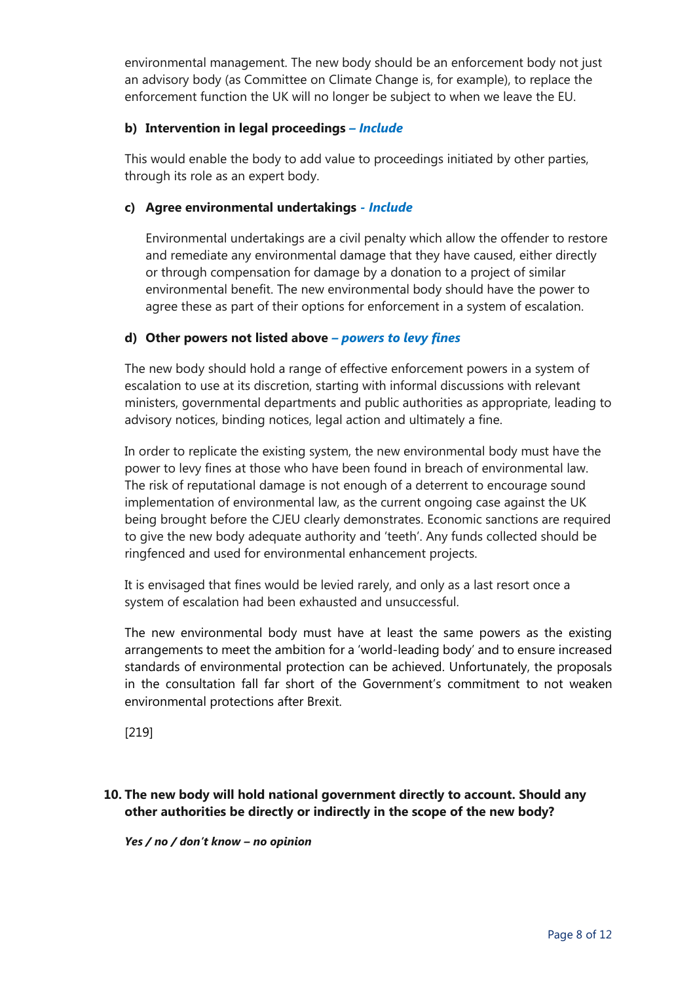environmental management. The new body should be an enforcement body not just an advisory body (as Committee on Climate Change is, for example), to replace the enforcement function the UK will no longer be subject to when we leave the EU.

## **b) Intervention in legal proceedings** *– Include*

This would enable the body to add value to proceedings initiated by other parties, through its role as an expert body.

## **c) Agree environmental undertakings** *- Include*

Environmental undertakings are a civil penalty which allow the offender to restore and remediate any environmental damage that they have caused, either directly or through compensation for damage by a donation to a project of similar environmental benefit. The new environmental body should have the power to agree these as part of their options for enforcement in a system of escalation.

## **d) Other powers not listed above** *– powers to levy fines*

The new body should hold a range of effective enforcement powers in a system of escalation to use at its discretion, starting with informal discussions with relevant ministers, governmental departments and public authorities as appropriate, leading to advisory notices, binding notices, legal action and ultimately a fine.

In order to replicate the existing system, the new environmental body must have the power to levy fines at those who have been found in breach of environmental law. The risk of reputational damage is not enough of a deterrent to encourage sound implementation of environmental law, as the current ongoing case against the UK being brought before the CJEU clearly demonstrates. Economic sanctions are required to give the new body adequate authority and 'teeth'. Any funds collected should be ringfenced and used for environmental enhancement projects.

It is envisaged that fines would be levied rarely, and only as a last resort once a system of escalation had been exhausted and unsuccessful.

The new environmental body must have at least the same powers as the existing arrangements to meet the ambition for a 'world-leading body' and to ensure increased standards of environmental protection can be achieved. Unfortunately, the proposals in the consultation fall far short of the Government's commitment to not weaken environmental protections after Brexit.

[219]

## **10. The new body will hold national government directly to account. Should any other authorities be directly or indirectly in the scope of the new body?**

*Yes / no / don't know – no opinion*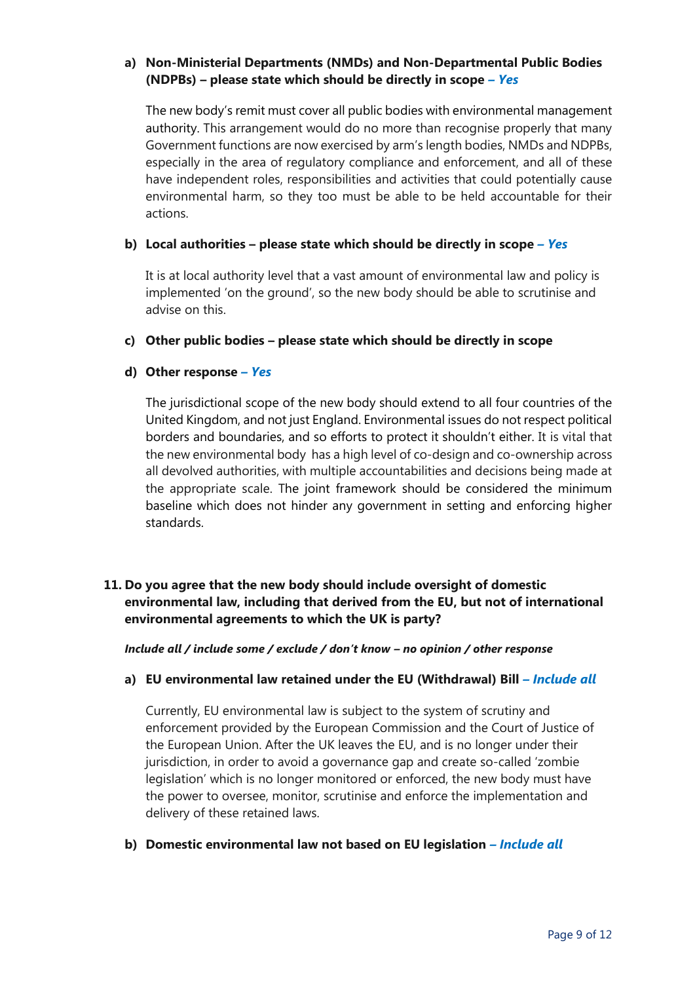## **a) Non-Ministerial Departments (NMDs) and Non-Departmental Public Bodies (NDPBs) – please state which should be directly in scope** *– Yes*

The new body's remit must cover all public bodies with environmental management authority. This arrangement would do no more than recognise properly that many Government functions are now exercised by arm's length bodies, NMDs and NDPBs, especially in the area of regulatory compliance and enforcement, and all of these have independent roles, responsibilities and activities that could potentially cause environmental harm, so they too must be able to be held accountable for their actions.

### **b) Local authorities – please state which should be directly in scope** *– Yes*

It is at local authority level that a vast amount of environmental law and policy is implemented 'on the ground', so the new body should be able to scrutinise and advise on this.

### **c) Other public bodies – please state which should be directly in scope**

## **d) Other response** *– Yes*

The jurisdictional scope of the new body should extend to all four countries of the United Kingdom, and not just England. Environmental issues do not respect political borders and boundaries, and so efforts to protect it shouldn't either. It is vital that the new environmental body has a high level of co-design and co-ownership across all devolved authorities, with multiple accountabilities and decisions being made at the appropriate scale. The joint framework should be considered the minimum baseline which does not hinder any government in setting and enforcing higher standards.

## **11. Do you agree that the new body should include oversight of domestic environmental law, including that derived from the EU, but not of international environmental agreements to which the UK is party?**

*Include all / include some / exclude / don't know – no opinion / other response*

### **a) EU environmental law retained under the EU (Withdrawal) Bill** *– Include all*

Currently, EU environmental law is subject to the system of scrutiny and enforcement provided by the European Commission and the Court of Justice of the European Union. After the UK leaves the EU, and is no longer under their jurisdiction, in order to avoid a governance gap and create so-called 'zombie legislation' which is no longer monitored or enforced, the new body must have the power to oversee, monitor, scrutinise and enforce the implementation and delivery of these retained laws.

### **b) Domestic environmental law not based on EU legislation** *– Include all*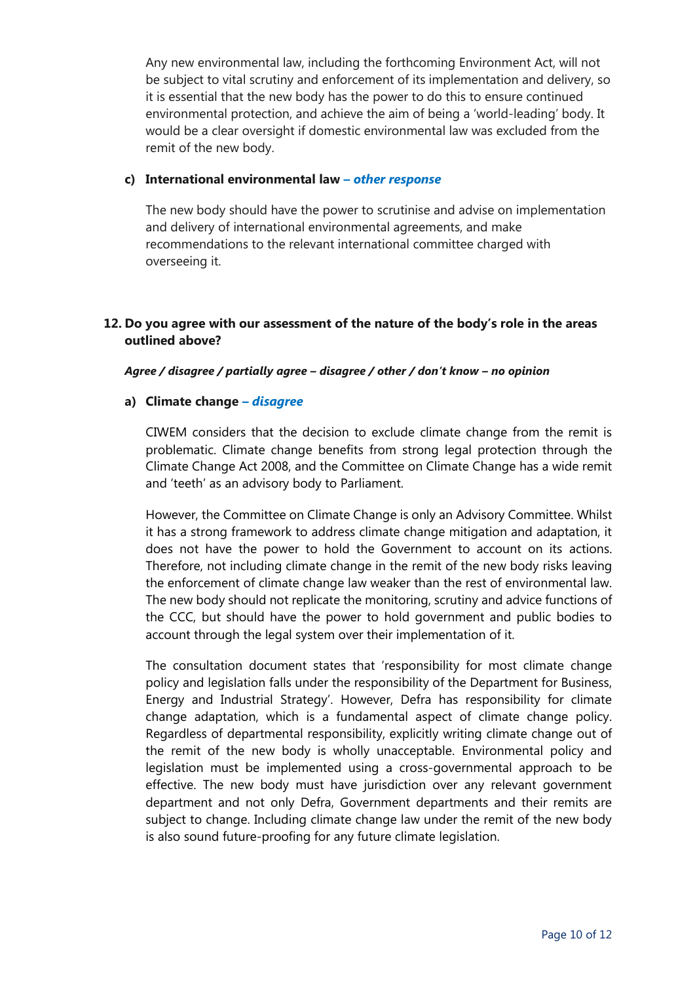Any new environmental law, including the forthcoming Environment Act, will not be subject to vital scrutiny and enforcement of its implementation and delivery, so it is essential that the new body has the power to do this to ensure continued environmental protection, and achieve the aim of being a 'world-leading' body. It would be a clear oversight if domestic environmental law was excluded from the remit of the new body.

### **c) International environmental law** *– other response*

The new body should have the power to scrutinise and advise on implementation and delivery of international environmental agreements, and make recommendations to the relevant international committee charged with overseeing it.

### **12. Do you agree with our assessment of the nature of the body's role in the areas outlined above?**

#### *Agree / disagree / partially agree – disagree / other / don't know – no opinion*

### **a) Climate change** *– disagree*

CIWEM considers that the decision to exclude climate change from the remit is problematic. Climate change benefits from strong legal protection through the Climate Change Act 2008, and the Committee on Climate Change has a wide remit and 'teeth' as an advisory body to Parliament.

However, the Committee on Climate Change is only an Advisory Committee. Whilst it has a strong framework to address climate change mitigation and adaptation, it does not have the power to hold the Government to account on its actions. Therefore, not including climate change in the remit of the new body risks leaving the enforcement of climate change law weaker than the rest of environmental law. The new body should not replicate the monitoring, scrutiny and advice functions of the CCC, but should have the power to hold government and public bodies to account through the legal system over their implementation of it.

The consultation document states that 'responsibility for most climate change policy and legislation falls under the responsibility of the Department for Business, Energy and Industrial Strategy'. However, Defra has responsibility for climate change adaptation, which is a fundamental aspect of climate change policy. Regardless of departmental responsibility, explicitly writing climate change out of the remit of the new body is wholly unacceptable. Environmental policy and legislation must be implemented using a cross-governmental approach to be effective. The new body must have jurisdiction over any relevant government department and not only Defra, Government departments and their remits are subject to change. Including climate change law under the remit of the new body is also sound future-proofing for any future climate legislation.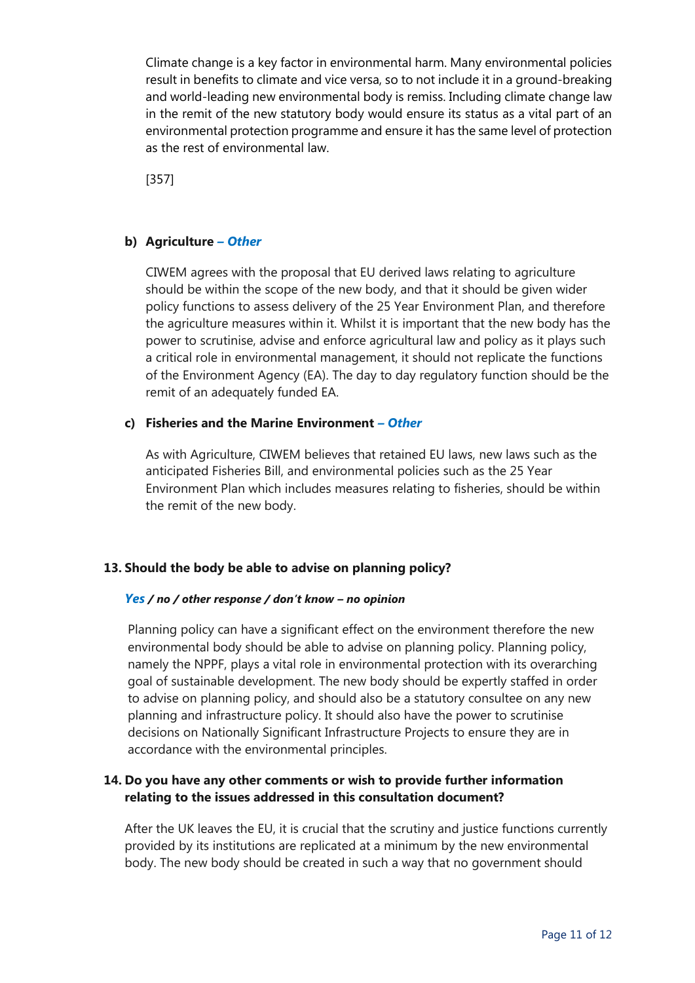Climate change is a key factor in environmental harm. Many environmental policies result in benefits to climate and vice versa, so to not include it in a ground-breaking and world-leading new environmental body is remiss. Including climate change law in the remit of the new statutory body would ensure its status as a vital part of an environmental protection programme and ensure it has the same level of protection as the rest of environmental law.

[357]

## **b) Agriculture** *– Other*

CIWEM agrees with the proposal that EU derived laws relating to agriculture should be within the scope of the new body, and that it should be given wider policy functions to assess delivery of the 25 Year Environment Plan, and therefore the agriculture measures within it. Whilst it is important that the new body has the power to scrutinise, advise and enforce agricultural law and policy as it plays such a critical role in environmental management, it should not replicate the functions of the Environment Agency (EA). The day to day regulatory function should be the remit of an adequately funded EA.

### **c) Fisheries and the Marine Environment** *– Other*

As with Agriculture, CIWEM believes that retained EU laws, new laws such as the anticipated Fisheries Bill, and environmental policies such as the 25 Year Environment Plan which includes measures relating to fisheries, should be within the remit of the new body.

## **13. Should the body be able to advise on planning policy?**

### *Yes / no / other response / don't know – no opinion*

Planning policy can have a significant effect on the environment therefore the new environmental body should be able to advise on planning policy. Planning policy, namely the NPPF, plays a vital role in environmental protection with its overarching goal of sustainable development. The new body should be expertly staffed in order to advise on planning policy, and should also be a statutory consultee on any new planning and infrastructure policy. It should also have the power to scrutinise decisions on Nationally Significant Infrastructure Projects to ensure they are in accordance with the environmental principles.

## **14. Do you have any other comments or wish to provide further information relating to the issues addressed in this consultation document?**

After the UK leaves the EU, it is crucial that the scrutiny and justice functions currently provided by its institutions are replicated at a minimum by the new environmental body. The new body should be created in such a way that no government should